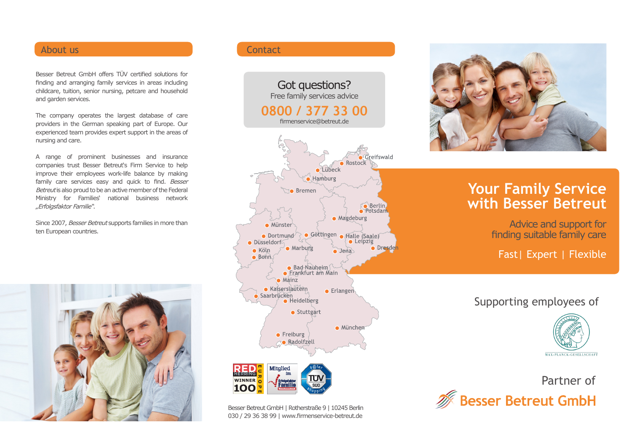## About us a contact that the contact of the Contact Contact

Besser Betreut GmbH offers TÜV certified solutions for finding and arranging family services in areas including childcare, tuition, senior nursing, petcare and household and garden services.

The company operates the largest database of care providers in the German speaking part of Europe. Our experienced team provides expert support in the areas of nursing and care.

A range of prominent businesses and insurance companies trust Besser Betreut's Firm Service to help improve their employees work-life balance by making family care services easy and quick to find. Besser Betreut is also proud to be an active member of the Federal Ministry for Families' national business network "Erfolgsfaktor Familie".

Since 2007, Besser Betreut supports families in more than ten European countries.



Got questions? Free family services advice **0800 / 377 33 00** firmenservice@betreut.deGreifswald Rostock Lübeck Hamburg **C** Bremen Berlin<br>Potsdam  $\bullet$  Magdeburg • Münster Göttingen Halle (Saale)  $\bullet$  Dortmund  $\bullet$  Leipzig · Düsseldorf • Marburg • Dresden  $\bullet$  Köln  $\bullet$  Jena  $\bullet$  Bonn Bad-Nauheim  $\bullet$  Mainz • Kaiserslautern  $\bullet$  Erlangen Saarbrücken • Stuttgart · München  $\bullet$  Freiburg **no** Radolfzell **Mitglied HERRING** WINNER O  $100$ 

Besser Betreut GmbH | Rotherstraße 9 | 10245 Berlin 030 / 29 36 38 99 | www.firmenservice-betreut.de



# **Your Family Service with Besser Betreut**

Advice and support for finding suitable family care

Fast| Expert | Flexible

# Supporting employees of